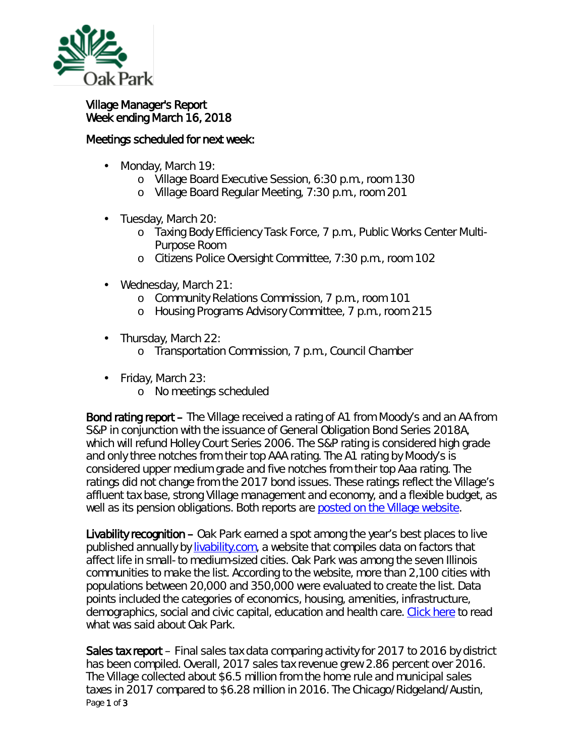

## Village Manager's Report Week ending March 16, 2018

## Meetings scheduled for next week:

- Monday, March 19: ä,
	- o Village Board Executive Session, 6:30 p.m., room 130
	- o Village Board Regular Meeting, 7:30 p.m., room 201
- Tuesday, March 20:
	- o Taxing Body Efficiency Task Force, 7 p.m., Public Works Center Multi-Purpose Room
	- o Citizens Police Oversight Committee, 7:30 p.m., room 102
- Wednesday, March 21:
	- o Community Relations Commission, 7 p.m., room 101
	- o Housing Programs Advisory Committee, 7 p.m., room 215
- . Thursday, March 22:
	- o Transportation Commission, 7 p.m., Council Chamber
- Friday, March 23:
	- o No meetings scheduled

Bond rating report – The Village received a rating of *A1* from Moody's and an AA from S&P in conjunction with the issuance of General Obligation Bond Series 2018A, which will refund Holley Court Series 2006. The S&P rating is considered high grade and only three notches from their top *AAA* rating. The A1 rating by Moody's is considered upper medium grade and five notches from their top *Aaa* rating. The ratings did not change from the 2017 bond issues. These ratings reflect the Village's affluent tax base, strong Village management and economy, and a flexible budget, as well as its pension obligations. Both reports are [posted on the Village website.](https://www.oak-park.us/your-government/budget-purchasing/financial-reports)

Livability recognition – Oak Park earned a spot among the year's best places to live published annually by [livability.com,](https://livability.com/) a website that compiles data on factors that affect life in small- to medium-sized cities. Oak Park was among the seven Illinois communities to make the list. According to the website, more than 2,100 cities with populations between 20,000 and 350,000 were evaluated to create the list. Data points included the categories of economics, housing, amenities, infrastructure, demographics, social and civic capital, education and health care. [Click here](https://livability.com/best-places/top-100-best-places-to-live/2018/il/oak-park) to read what was said about Oak Park.

Page 1 of 3 Sales tax report – Final sales tax data comparing activity for 2017 to 2016 by district has been compiled. Overall, 2017 sales tax revenue grew 2.86 percent over 2016. The Village collected about \$6.5 million from the home rule and municipal sales taxes in 2017 compared to \$6.28 million in 2016. The Chicago/Ridgeland/Austin,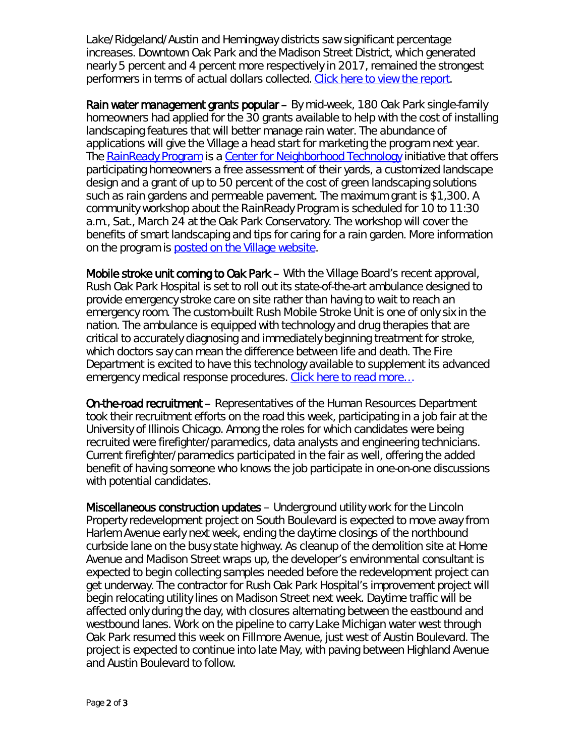Lake/Ridgeland/Austin and Hemingway districts saw significant percentage increases. Downtown Oak Park and the Madison Street District, which generated nearly 5 percent and 4 percent more respectively in 2017, remained the strongest performers in terms of actual dollars collected. [Click here to view the report.](https://www.oak-park.us/sites/default/files/456678891/2017_sales_tax_by_business_districts.pdf)

Rain water management grants popular – By mid-week, 180 Oak Park single-family homeowners had applied for the 30 grants available to help with the cost of installing landscaping features that will better manage rain water. The abundance of applications will give the Village a head start for marketing the program next year. The [RainReady Program](http://rainready.org/) is a [Center for Neighborhood Technology](http://www.cnt.org/) initiative that offers participating homeowners a free assessment of their yards, a customized landscape design and a grant of up to 50 percent of the cost of green landscaping solutions such as rain gardens and permeable pavement. The maximum grant is \$1,300. A community workshop about the *RainReady Program* is scheduled for 10 to 11:30 a.m., Sat., March 24 at the Oak Park Conservatory. The workshop will cover the benefits of smart landscaping and tips for caring for a rain garden. More information on the program is [posted on the Village website.](https://www.oak-park.us/news/grant-program-help-oak-park-homeowners-get-rainready)

Mobile stroke unit coming to Oak Park – With the Village Board's recent approval, Rush Oak Park Hospital is set to roll out its state-of-the-art ambulance designed to provide emergency stroke care on site rather than having to wait to reach an emergency room. The custom-built *Rush Mobile Stroke Unit* is one of only six in the nation. The ambulance is equipped with technology and drug therapies that are critical to accurately diagnosing and immediately beginning treatment for stroke, which doctors say can mean the difference between life and death. The Fire Department is excited to have this technology available to supplement its advanced emergency medical response procedures. [Click here to read more…](https://www.oak-park.us/news/mobile-stroke-ambulance-roll-oak-park)

On-the-road recruitment – Representatives of the Human Resources Department took their recruitment efforts on the road this week, participating in a job fair at the University of Illinois Chicago. Among the roles for which candidates were being recruited were firefighter/paramedics, data analysts and engineering technicians. Current firefighter/paramedics participated in the fair as well, offering the added benefit of having someone who knows the job participate in one-on-one discussions with potential candidates.

Miscellaneous construction updates – Underground utility work for the Lincoln Property redevelopment project on South Boulevard is expected to move away from Harlem Avenue early next week, ending the daytime closings of the northbound curbside lane on the busy state highway. As cleanup of the demolition site at Home Avenue and Madison Street wraps up, the developer's environmental consultant is expected to begin collecting samples needed before the redevelopment project can get underway. The contractor for Rush Oak Park Hospital's improvement project will begin relocating utility lines on Madison Street next week. Daytime traffic will be affected only during the day, with closures alternating between the eastbound and westbound lanes. Work on the pipeline to carry Lake Michigan water west through Oak Park resumed this week on Fillmore Avenue, just west of Austin Boulevard. The project is expected to continue into late May, with paving between Highland Avenue and Austin Boulevard to follow.